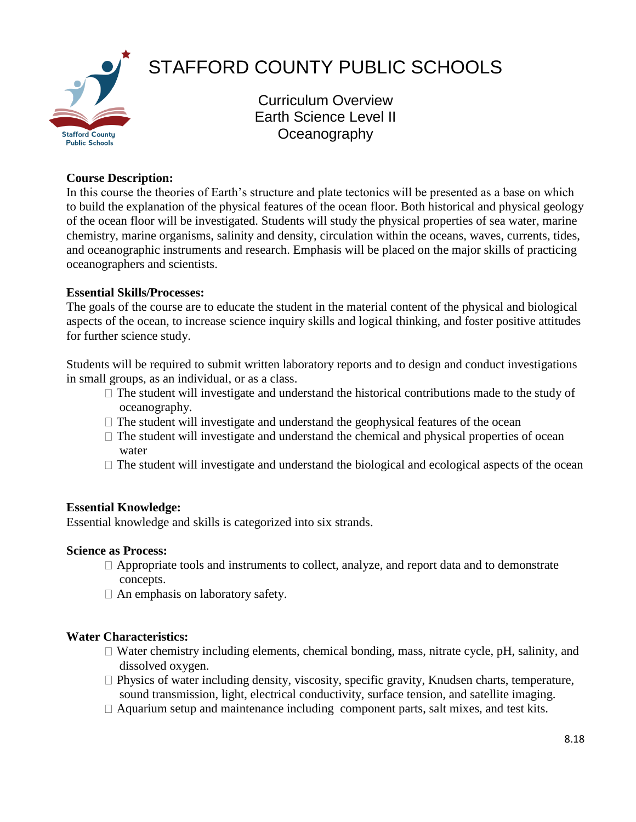

# STAFFORD COUNTY PUBLIC SCHOOLS

Curriculum Overview Earth Science Level II **Oceanography** 

## **Course Description:**

In this course the theories of Earth's structure and plate tectonics will be presented as a base on which to build the explanation of the physical features of the ocean floor. Both historical and physical geology of the ocean floor will be investigated. Students will study the physical properties of sea water, marine chemistry, marine organisms, salinity and density, circulation within the oceans, waves, currents, tides, and oceanographic instruments and research. Emphasis will be placed on the major skills of practicing oceanographers and scientists.

## **Essential Skills/Processes:**

The goals of the course are to educate the student in the material content of the physical and biological aspects of the ocean, to increase science inquiry skills and logical thinking, and foster positive attitudes for further science study.

Students will be required to submit written laboratory reports and to design and conduct investigations in small groups, as an individual, or as a class.

- $\Box$  The student will investigate and understand the historical contributions made to the study of oceanography.
- $\Box$  The student will investigate and understand the geophysical features of the ocean
- $\Box$  The student will investigate and understand the chemical and physical properties of ocean water
- $\Box$  The student will investigate and understand the biological and ecological aspects of the ocean

## **Essential Knowledge:**

Essential knowledge and skills is categorized into six strands.

## **Science as Process:**

- $\Box$  Appropriate tools and instruments to collect, analyze, and report data and to demonstrate concepts.
- $\Box$  An emphasis on laboratory safety.

## **Water Characteristics:**

- $\Box$  Water chemistry including elements, chemical bonding, mass, nitrate cycle, pH, salinity, and dissolved oxygen.
- $\Box$  Physics of water including density, viscosity, specific gravity, Knudsen charts, temperature, sound transmission, light, electrical conductivity, surface tension, and satellite imaging.
- $\Box$  Aquarium setup and maintenance including component parts, salt mixes, and test kits.